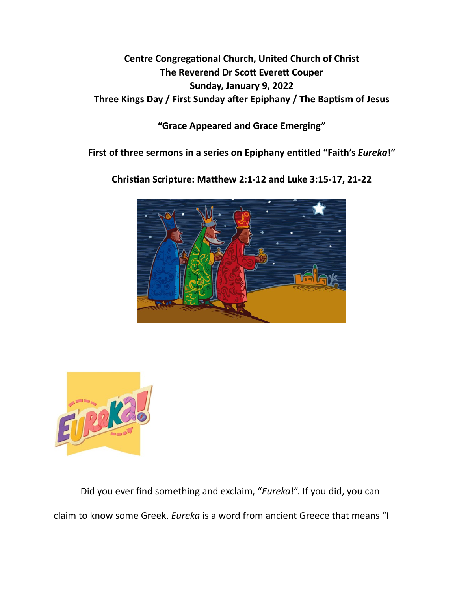## **Centre Congregational Church, United Church of Christ The Reverend Dr Scott Everett Couper Sunday, January 9, 2022**  Three Kings Day / First Sunday after Epiphany / The Baptism of Jesus

**"Grace Appeared and Grace Emerging"** 

**First of three sermons in a series on Epiphany en\*tled "Faith's** *Eureka***!"** 

Christian Scripture: Matthew 2:1-12 and Luke 3:15-17, 21-22





Did you ever find something and exclaim, "*Eureka*!". If you did, you can claim to know some Greek. *Eureka* is a word from ancient Greece that means "I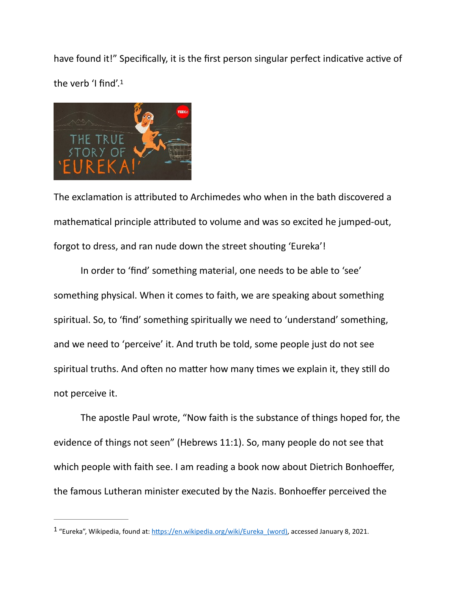<span id="page-1-1"></span>have found it!" Specifically, it is the first person singular perfect indicative active of the verb 'I find'.[1](#page-1-0)



The exclamation is attributed to Archimedes who when in the bath discovered a mathematical principle attributed to volume and was so excited he jumped-out, forgot to dress, and ran nude down the street shouting 'Eureka'!

 In order to 'find' something material, one needs to be able to 'see' something physical. When it comes to faith, we are speaking about something spiritual. So, to 'find' something spiritually we need to 'understand' something, and we need to 'perceive' it. And truth be told, some people just do not see spiritual truths. And often no matter how many times we explain it, they still do not perceive it.

The apostle Paul wrote, "Now faith is the substance of things hoped for, the evidence of things not seen" (Hebrews 11:1). So, many people do not see that which people with faith see. I am reading a book now about Dietrich Bonhoeffer, the famous Lutheran minister executed by the Nazis. Bonhoeffer perceived the

<span id="page-1-0"></span> $1$  "Eureka", Wikipedia, found at: https://en.wikipedia.org/wiki/Eureka (word), accessed January 8, 2021.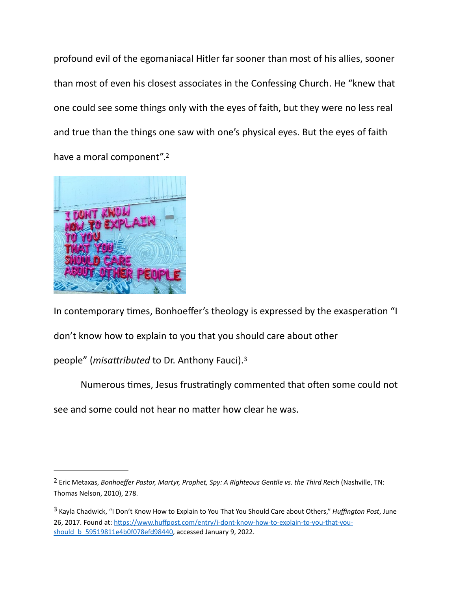profound evil of the egomaniacal Hitler far sooner than most of his allies, sooner than most of even his closest associates in the Confessing Church. He "knew that one could see some things only with the eyes of faith, but they were no less real and true than the things one saw with one's physical eyes. But the eyes of faith have a moral component"[.2](#page-2-0)

<span id="page-2-2"></span>

In contemporary times, Bonhoeffer's theology is expressed by the exasperation "I don't know how to explain to you that you should care about other people" (*misattributed* to Dr. Anthony Fauci).<sup>[3](#page-2-1)</sup>

<span id="page-2-3"></span>Numerous times, Jesus frustratingly commented that often some could not see and some could not hear no matter how clear he was.

<span id="page-2-0"></span><sup>&</sup>lt;sup>[2](#page-2-2)</sup> Eric Metaxas, *Bonhoeffer Pastor, Martyr, Prophet, Spy: A Righteous Gentile vs. the Third Reich* (Nashville, TN: Thomas Nelson, 2010), 278.

<span id="page-2-1"></span><sup>&</sup>lt;sup>[3](#page-2-3)</sup> Kayla Chadwick, "I Don't Know How to Explain to You That You Should Care about Others," *Huffington Post*, June 26, 2017. Found at: https://www.huffpost.com/entry/i-dont-know-how-to-explain-to-you-that-you[should\\_b\\_59519811e4b0f078efd98440,](https://www.huffpost.com/entry/i-dont-know-how-to-explain-to-you-that-you-should_b_59519811e4b0f078efd98440) accessed January 9, 2022.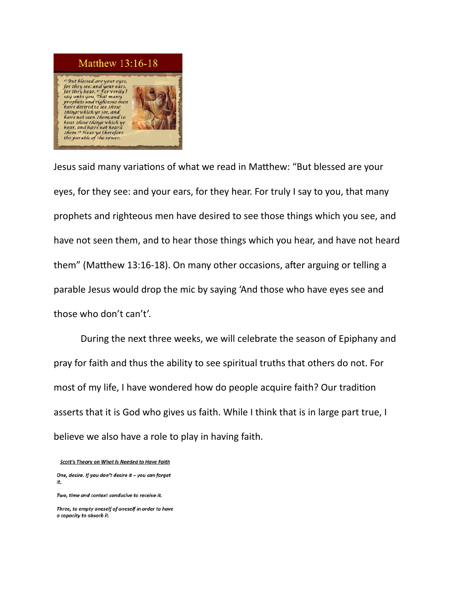## Matthew 13:16-18

But blessed are your eyes. or they see: and your ears, for they hear. " For verily I<br>say unto you, That many rophets and righteous men have desired to see those hingswhich ye see, and have not seen *them*; and to<br>hear *those things* which ye<br>hear, and have not heard<br>*them.* <sup>18</sup> Hear ye therefore the parable of the sower.



Jesus said many variations of what we read in Matthew: "But blessed are your eyes, for they see: and your ears, for they hear. For truly I say to you, that many prophets and righteous men have desired to see those things which you see, and have not seen them, and to hear those things which you hear, and have not heard them" (Matthew 13:16-18). On many other occasions, after arguing or telling a parable Jesus would drop the mic by saying 'And those who have eyes see and those who don't can't'.

 During the next three weeks, we will celebrate the season of Epiphany and pray for faith and thus the ability to see spiritual truths that others do not. For most of my life, I have wondered how do people acquire faith? Our tradition asserts that it is God who gives us faith. While I think that is in large part true, I believe we also have a role to play in having faith.

Scott's Theory on What Is Needed to Have Faith

One, desire. If you don't desire it - you can forget it.

Three, to empty oneself of oneself in order to have a capacity to absorb it.

Two, time and context conducive to receive it.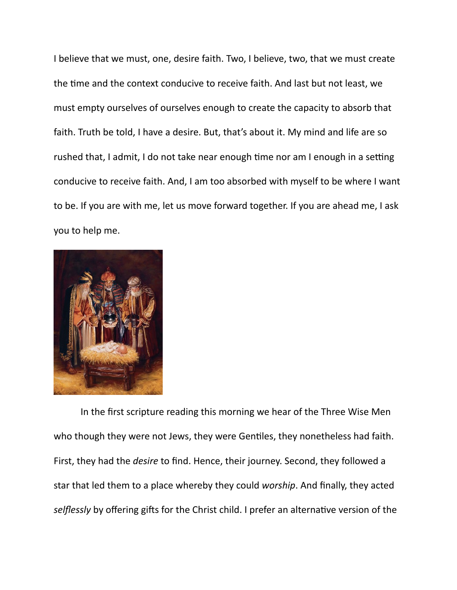I believe that we must, one, desire faith. Two, I believe, two, that we must create the time and the context conducive to receive faith. And last but not least, we must empty ourselves of ourselves enough to create the capacity to absorb that faith. Truth be told, I have a desire. But, that's about it. My mind and life are so rushed that, I admit, I do not take near enough time nor am I enough in a setting conducive to receive faith. And, I am too absorbed with myself to be where I want to be. If you are with me, let us move forward together. If you are ahead me, I ask you to help me.



 In the first scripture reading this morning we hear of the Three Wise Men who though they were not Jews, they were Gentiles, they nonetheless had faith. First, they had the *desire* to find. Hence, their journey. Second, they followed a star that led them to a place whereby they could *worship*. And finally, they acted selflessly by offering gifts for the Christ child. I prefer an alternative version of the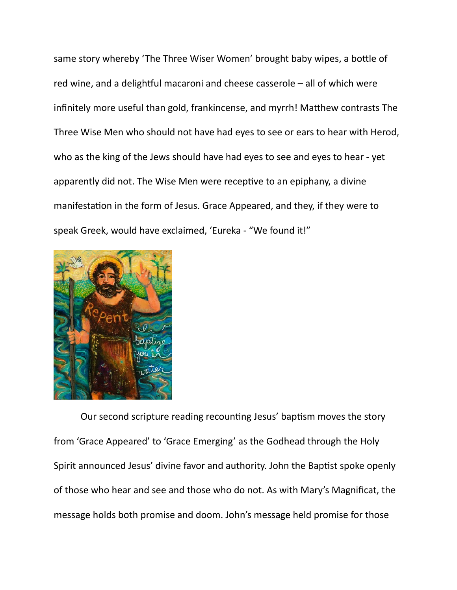same story whereby 'The Three Wiser Women' brought baby wipes, a bottle of red wine, and a delightful macaroni and cheese casserole  $-$  all of which were infinitely more useful than gold, frankincense, and myrrh! Matthew contrasts The Three Wise Men who should not have had eyes to see or ears to hear with Herod, who as the king of the Jews should have had eyes to see and eyes to hear - yet apparently did not. The Wise Men were receptive to an epiphany, a divine manifestation in the form of Jesus. Grace Appeared, and they, if they were to speak Greek, would have exclaimed, 'Eureka - "We found it!"



Our second scripture reading recounting Jesus' baptism moves the story from 'Grace Appeared' to 'Grace Emerging' as the Godhead through the Holy Spirit announced Jesus' divine favor and authority. John the Baptist spoke openly of those who hear and see and those who do not. As with Mary's Magnificat, the message holds both promise and doom. John's message held promise for those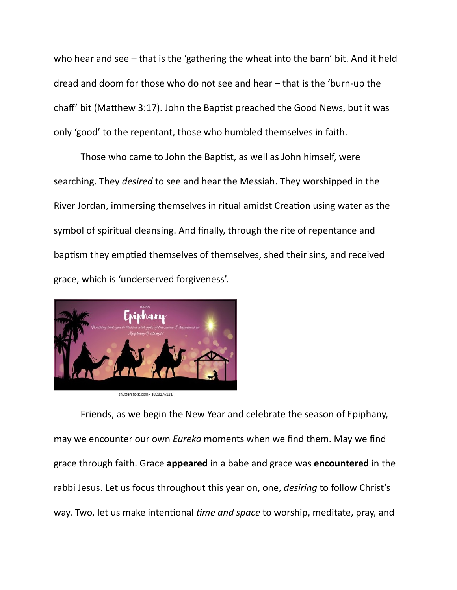who hear and see – that is the 'gathering the wheat into the barn' bit. And it held dread and doom for those who do not see and hear – that is the 'burn-up the chaff' bit (Matthew 3:17). John the Baptist preached the Good News, but it was only 'good' to the repentant, those who humbled themselves in faith.

Those who came to John the Baptist, as well as John himself, were searching. They *desired* to see and hear the Messiah. They worshipped in the River Jordan, immersing themselves in ritual amidst Creation using water as the symbol of spiritual cleansing. And finally, through the rite of repentance and baptism they emptied themselves of themselves, shed their sins, and received grace, which is 'underserved forgiveness'.



 Friends, as we begin the New Year and celebrate the season of Epiphany, may we encounter our own *Eureka* moments when we find them. May we find grace through faith. Grace **appeared** in a babe and grace was **encountered** in the rabbi Jesus. Let us focus throughout this year on, one, *desiring* to follow Christ's way. Two, let us make intentional *time and space* to worship, meditate, pray, and